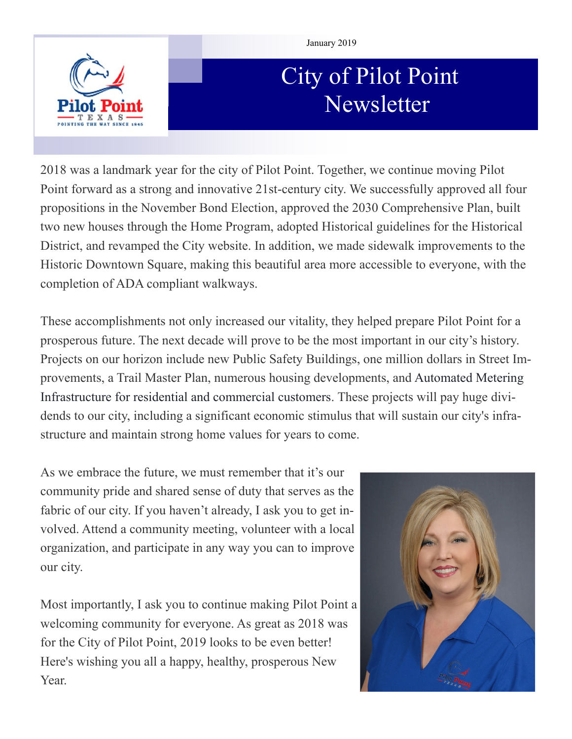

#### January 2019

# City of Pilot Point Newsletter

2018 was a landmark year for the city of Pilot Point. Together, we continue moving Pilot Point forward as a strong and innovative 21st-century city. We successfully approved all four propositions in the November Bond Election, approved the 2030 Comprehensive Plan, built two new houses through the Home Program, adopted Historical guidelines for the Historical District, and revamped the City website. In addition, we made sidewalk improvements to the Historic Downtown Square, making this beautiful area more accessible to everyone, with the completion of ADA compliant walkways.

These accomplishments not only increased our vitality, they helped prepare Pilot Point for a prosperous future. The next decade will prove to be the most important in our city's history. Projects on our horizon include new Public Safety Buildings, one million dollars in Street Improvements, a Trail Master Plan, numerous housing developments, and Automated Metering Infrastructure for residential and commercial customers. These projects will pay huge dividends to our city, including a significant economic stimulus that will sustain our city's infrastructure and maintain strong home values for years to come.

As we embrace the future, we must remember that it's our community pride and shared sense of duty that serves as the fabric of our city. If you haven't already, I ask you to get involved. Attend a community meeting, volunteer with a local organization, and participate in any way you can to improve our city.

Most importantly, I ask you to continue making Pilot Point a welcoming community for everyone. As great as 2018 was for the City of Pilot Point, 2019 looks to be even better! Here's wishing you all a happy, healthy, prosperous New Year.

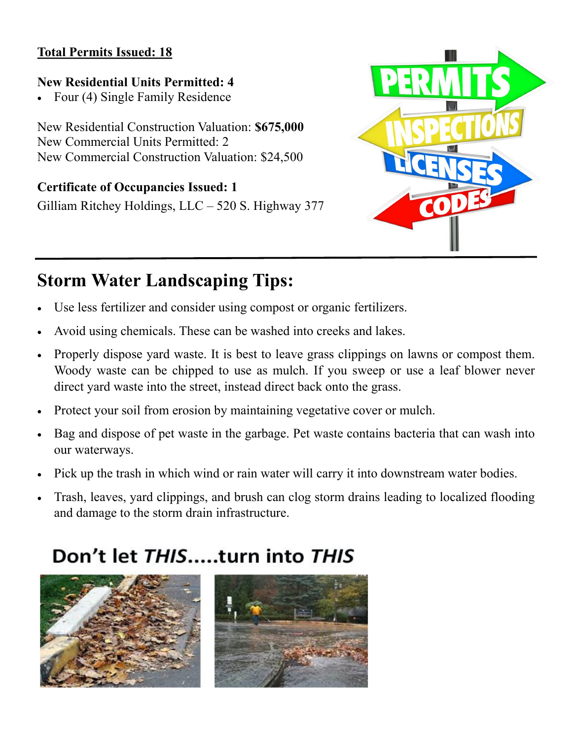### **Total Permits Issued: 18**

## **New Residential Units Permitted: 4**

• Four (4) Single Family Residence

New Residential Construction Valuation: **\$675,000** New Commercial Units Permitted: 2 New Commercial Construction Valuation: \$24,500

## **Certificate of Occupancies Issued: 1**

Gilliam Ritchey Holdings, LLC – 520 S. Highway 377



## **Storm Water Landscaping Tips:**

- Use less fertilizer and consider using compost or organic fertilizers.
- Avoid using chemicals. These can be washed into creeks and lakes.
- Properly dispose yard waste. It is best to leave grass clippings on lawns or compost them. Woody waste can be chipped to use as mulch. If you sweep or use a leaf blower never direct yard waste into the street, instead direct back onto the grass.
- Protect your soil from erosion by maintaining vegetative cover or mulch.
- Bag and dispose of pet waste in the garbage. Pet waste contains bacteria that can wash into our waterways.
- Pick up the trash in which wind or rain water will carry it into downstream water bodies.
- Trash, leaves, yard clippings, and brush can clog storm drains leading to localized flooding and damage to the storm drain infrastructure.

## Don't let THIS.....turn into THIS

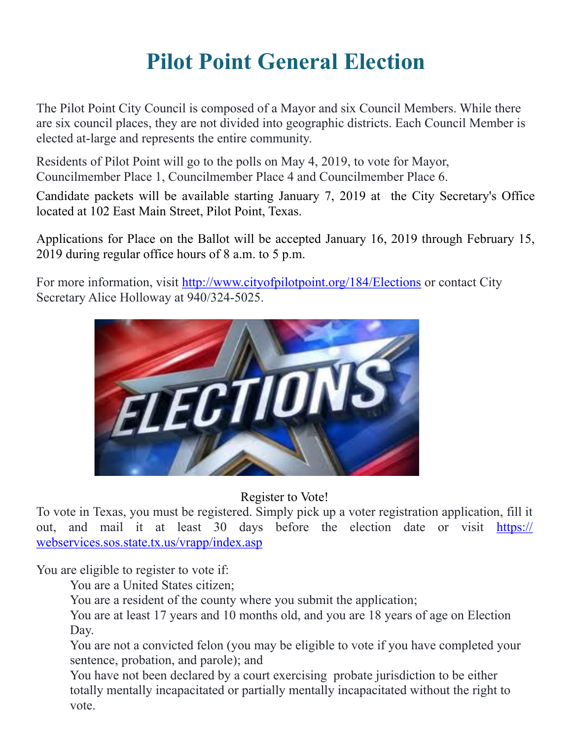# **Pilot Point General Election**

The Pilot Point City Council is composed of a Mayor and six Council Members. While there are six council places, they are not divided into geographic districts. Each Council Member is elected at-large and represents the entire community.

Residents of Pilot Point will go to the polls on May 4, 2019, to vote for Mayor, Councilmember Place 1, Councilmember Place 4 and Councilmember Place 6.

Candidate packets will be available starting January 7, 2019 at the City Secretary's Office located at 102 East Main Street, Pilot Point, Texas.

Applications for Place on the Ballot will be accepted January 16, 2019 through February 15, 2019 during regular office hours of 8 a.m. to 5 p.m.

For more information, visit [http://www.cityofpilotpoint.org/184/Elections](http://www.cityofpilotpoint.org/184/Elections?fbclid=IwAR1P-a1M6NVdA66pNYAbvwG_IQShK-6-whV6N6nJhihAz5eY09VmR9pBBqE) or contact City Secretary Alice Holloway at 940/324-5025.

![](_page_2_Picture_6.jpeg)

## Register to Vote!

To vote in Texas, you must be registered. Simply pick up a voter registration application, fill it out, and mail it at least 30 days before the election date or visit [https://](https://l.facebook.com/l.php?u=https%3A%2F%2Fwebservices.sos.state.tx.us%2Fvrapp%2Findex.asp%3Ffbclid%3DIwAR2mzZu84zbe14nP28VMXoZ9s9_nvCRKuEatzVZqlGXaqHV5blu2VdztxSg&h=AT0jbuhA1IP2poXUGY3DhihJ1rmSSyJyvsPB5Ho6DBHc9cosjPduLFtYopvjeBqVSnVdpxztgjc5j23kN1_-DugLTLP) [webservices.sos.state.tx.us/vrapp/index.asp](https://l.facebook.com/l.php?u=https%3A%2F%2Fwebservices.sos.state.tx.us%2Fvrapp%2Findex.asp%3Ffbclid%3DIwAR2mzZu84zbe14nP28VMXoZ9s9_nvCRKuEatzVZqlGXaqHV5blu2VdztxSg&h=AT0jbuhA1IP2poXUGY3DhihJ1rmSSyJyvsPB5Ho6DBHc9cosjPduLFtYopvjeBqVSnVdpxztgjc5j23kN1_-DugLTLP)

You are eligible to register to vote if:

You are a United States citizen;

You are a resident of the county where you submit the application;

You are at least 17 years and 10 months old, and you are 18 years of age on Election Day.

You are not a convicted felon (you may be eligible to vote if you have completed your sentence, probation, and parole); and

You have not been declared by a court exercising probate jurisdiction to be either totally mentally incapacitated or partially mentally incapacitated without the right to vote.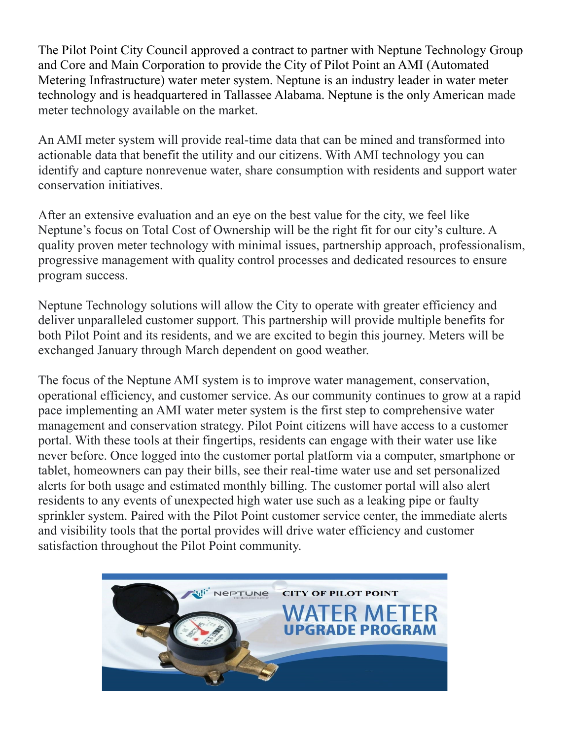The Pilot Point City Council approved a contract to partner with Neptune Technology Group and Core and Main Corporation to provide the City of Pilot Point an AMI (Automated Metering Infrastructure) water meter system. Neptune is an industry leader in water meter technology and is headquartered in Tallassee Alabama. Neptune is the only American made meter technology available on the market.

An AMI meter system will provide real-time data that can be mined and transformed into actionable data that benefit the utility and our citizens. With AMI technology you can identify and capture nonrevenue water, share consumption with residents and support water conservation initiatives.

After an extensive evaluation and an eye on the best value for the city, we feel like Neptune's focus on Total Cost of Ownership will be the right fit for our city's culture. A quality proven meter technology with minimal issues, partnership approach, professionalism, progressive management with quality control processes and dedicated resources to ensure program success.

Neptune Technology solutions will allow the City to operate with greater efficiency and deliver unparalleled customer support. This partnership will provide multiple benefits for both Pilot Point and its residents, and we are excited to begin this journey. Meters will be exchanged January through March dependent on good weather.

The focus of the Neptune AMI system is to improve water management, conservation, operational efficiency, and customer service. As our community continues to grow at a rapid pace implementing an AMI water meter system is the first step to comprehensive water management and conservation strategy. Pilot Point citizens will have access to a customer portal. With these tools at their fingertips, residents can engage with their water use like never before. Once logged into the customer portal platform via a computer, smartphone or tablet, homeowners can pay their bills, see their real-time water use and set personalized alerts for both usage and estimated monthly billing. The customer portal will also alert residents to any events of unexpected high water use such as a leaking pipe or faulty sprinkler system. Paired with the Pilot Point customer service center, the immediate alerts and visibility tools that the portal provides will drive water efficiency and customer satisfaction throughout the Pilot Point community.

![](_page_3_Picture_5.jpeg)